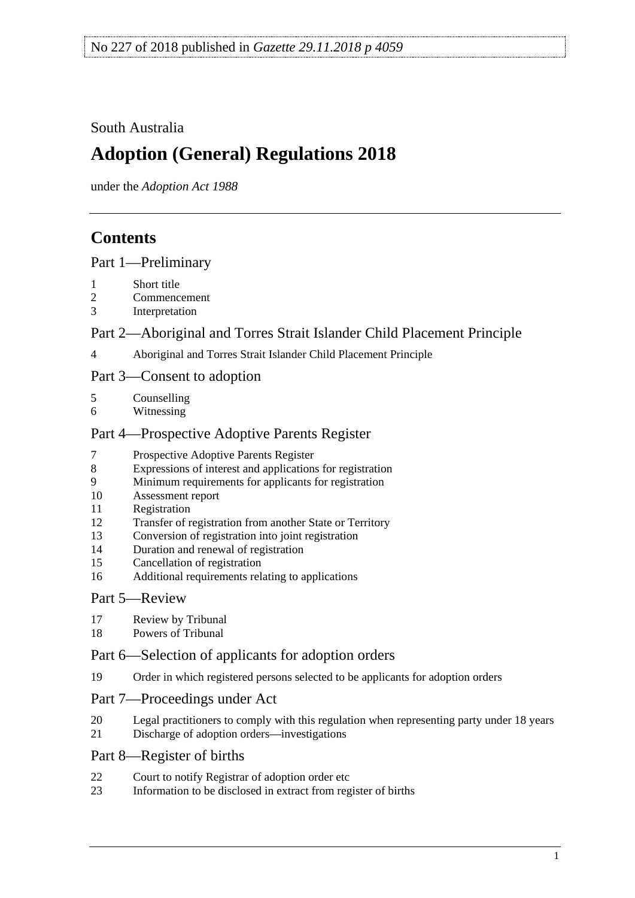### South Australia

# **Adoption (General) Regulations 2018**

under the *Adoption Act 1988*

# **Contents**

Part [1—Preliminary](#page-1-0)

- [Short title](#page-1-1)
- [Commencement](#page-1-2)
- [Interpretation](#page-1-3)

### Part [2—Aboriginal and Torres Strait Islander Child Placement Principle](#page-2-0)

[Aboriginal and Torres Strait Islander Child Placement Principle](#page-2-1)

### Part [3—Consent to adoption](#page-2-2)

| Counselling |
|-------------|
|             |

- [Witnessing](#page-3-0)
- Part [4—Prospective Adoptive Parents Register](#page-3-1)
- [Prospective Adoptive Parents Register](#page-3-2)
- [Expressions of interest and applications for registration](#page-4-0)
- [Minimum requirements for applicants for registration](#page-4-1)
- [Assessment report](#page-5-0)
- [Registration](#page-7-0)
- [Transfer of registration from another State or Territory](#page-7-1)
- [Conversion of registration into joint registration](#page-8-0)
- [Duration and renewal of registration](#page-8-1)
- [Cancellation of registration](#page-9-0)
- [Additional requirements relating to applications](#page-11-0)

### Part [5—Review](#page-11-1)

- [Review by Tribunal](#page-11-2)
- [Powers of Tribunal](#page-12-0)

### Part [6—Selection of applicants for adoption orders](#page-12-1)

[Order in which registered persons selected to be applicants for adoption orders](#page-12-2)

### Part [7—Proceedings under Act](#page-14-0)

- [Legal practitioners to comply with this regulation when representing party under 18 years](#page-14-1)
- [Discharge of adoption orders—investigations](#page-14-2)

### Part [8—Register of births](#page-14-3)

- [Court to notify Registrar of adoption order etc](#page-14-4)
- [Information to be disclosed in extract from register of births](#page-15-0)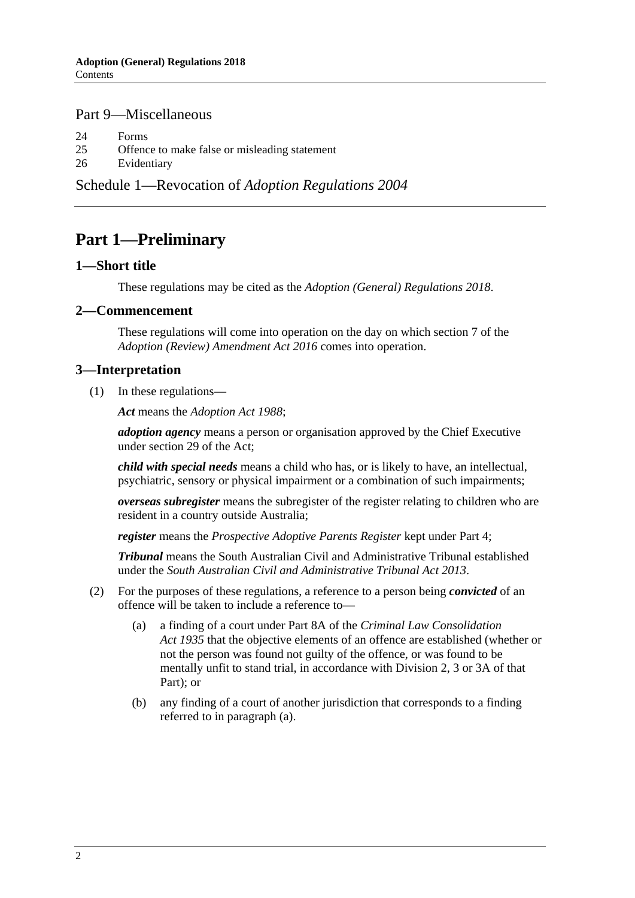### Part [9—Miscellaneous](#page-15-1)

24 [Forms](#page-15-2)

25 [Offence to make false or misleading statement](#page-15-3)

26 [Evidentiary](#page-15-4)

Schedule 1—Revocation of *[Adoption Regulations](#page-16-0) 2004*

# <span id="page-1-0"></span>**Part 1—Preliminary**

#### <span id="page-1-1"></span>**1—Short title**

These regulations may be cited as the *Adoption (General) Regulations 2018*.

#### <span id="page-1-2"></span>**2—Commencement**

These regulations will come into operation on the day on which section 7 of the *[Adoption \(Review\) Amendment Act](http://www.legislation.sa.gov.au/index.aspx?action=legref&type=act&legtitle=Adoption%20(Review)%20Amendment%20Act%202016) 2016* comes into operation.

#### <span id="page-1-3"></span>**3—Interpretation**

(1) In these regulations—

*Act* means the *[Adoption Act](http://www.legislation.sa.gov.au/index.aspx?action=legref&type=act&legtitle=Adoption%20Act%201988) 1988*;

*adoption agency* means a person or organisation approved by the Chief Executive under section 29 of the Act;

*child with special needs* means a child who has, or is likely to have, an intellectual, psychiatric, sensory or physical impairment or a combination of such impairments;

*overseas subregister* means the subregister of the register relating to children who are resident in a country outside Australia;

*register* means the *Prospective Adoptive Parents Register* kept under [Part](#page-3-1) 4;

*Tribunal* means the South Australian Civil and Administrative Tribunal established under the *[South Australian Civil and Administrative Tribunal Act](http://www.legislation.sa.gov.au/index.aspx?action=legref&type=act&legtitle=South%20Australian%20Civil%20and%20Administrative%20Tribunal%20Act%202013) 2013*.

- <span id="page-1-4"></span>(2) For the purposes of these regulations, a reference to a person being *convicted* of an offence will be taken to include a reference to—
	- (a) a finding of a court under Part 8A of the *[Criminal Law Consolidation](http://www.legislation.sa.gov.au/index.aspx?action=legref&type=act&legtitle=Criminal%20Law%20Consolidation%20Act%201935)  Act [1935](http://www.legislation.sa.gov.au/index.aspx?action=legref&type=act&legtitle=Criminal%20Law%20Consolidation%20Act%201935)* that the objective elements of an offence are established (whether or not the person was found not guilty of the offence, or was found to be mentally unfit to stand trial, in accordance with Division 2, 3 or 3A of that Part); or
	- (b) any finding of a court of another jurisdiction that corresponds to a finding referred to in [paragraph](#page-1-4) (a).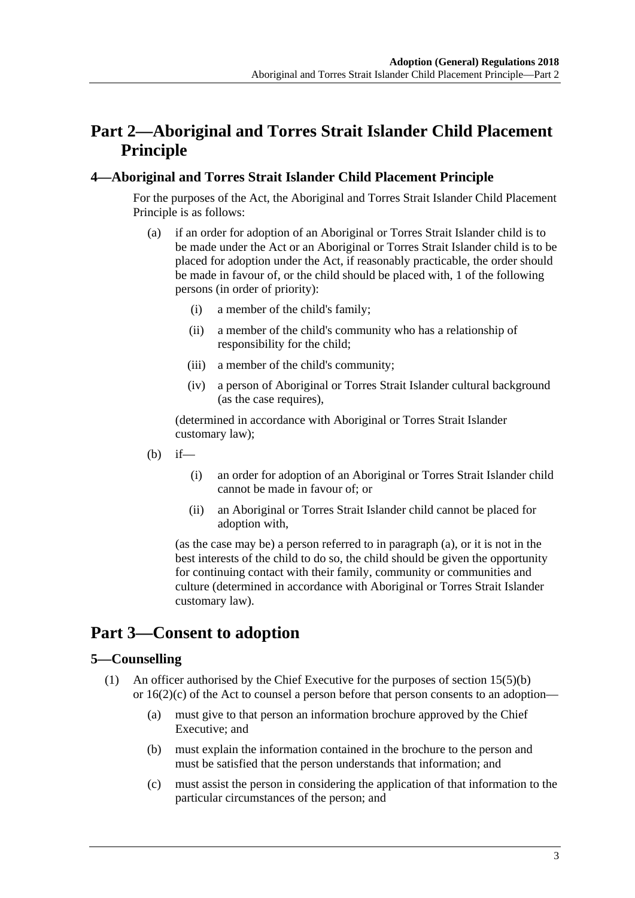# <span id="page-2-0"></span>**Part 2—Aboriginal and Torres Strait Islander Child Placement Principle**

### <span id="page-2-4"></span><span id="page-2-1"></span>**4—Aboriginal and Torres Strait Islander Child Placement Principle**

For the purposes of the Act, the Aboriginal and Torres Strait Islander Child Placement Principle is as follows:

- (a) if an order for adoption of an Aboriginal or Torres Strait Islander child is to be made under the Act or an Aboriginal or Torres Strait Islander child is to be placed for adoption under the Act, if reasonably practicable, the order should be made in favour of, or the child should be placed with, 1 of the following persons (in order of priority):
	- (i) a member of the child's family;
	- (ii) a member of the child's community who has a relationship of responsibility for the child;
	- (iii) a member of the child's community;
	- (iv) a person of Aboriginal or Torres Strait Islander cultural background (as the case requires),

(determined in accordance with Aboriginal or Torres Strait Islander customary law);

- $(h)$  if—
	- (i) an order for adoption of an Aboriginal or Torres Strait Islander child cannot be made in favour of; or
	- (ii) an Aboriginal or Torres Strait Islander child cannot be placed for adoption with,

(as the case may be) a person referred to in [paragraph](#page-2-4) (a), or it is not in the best interests of the child to do so, the child should be given the opportunity for continuing contact with their family, community or communities and culture (determined in accordance with Aboriginal or Torres Strait Islander customary law).

# <span id="page-2-2"></span>**Part 3—Consent to adoption**

### <span id="page-2-5"></span><span id="page-2-3"></span>**5—Counselling**

- (1) An officer authorised by the Chief Executive for the purposes of section 15(5)(b) or 16(2)(c) of the Act to counsel a person before that person consents to an adoption—
	- (a) must give to that person an information brochure approved by the Chief Executive; and
	- (b) must explain the information contained in the brochure to the person and must be satisfied that the person understands that information; and
	- (c) must assist the person in considering the application of that information to the particular circumstances of the person; and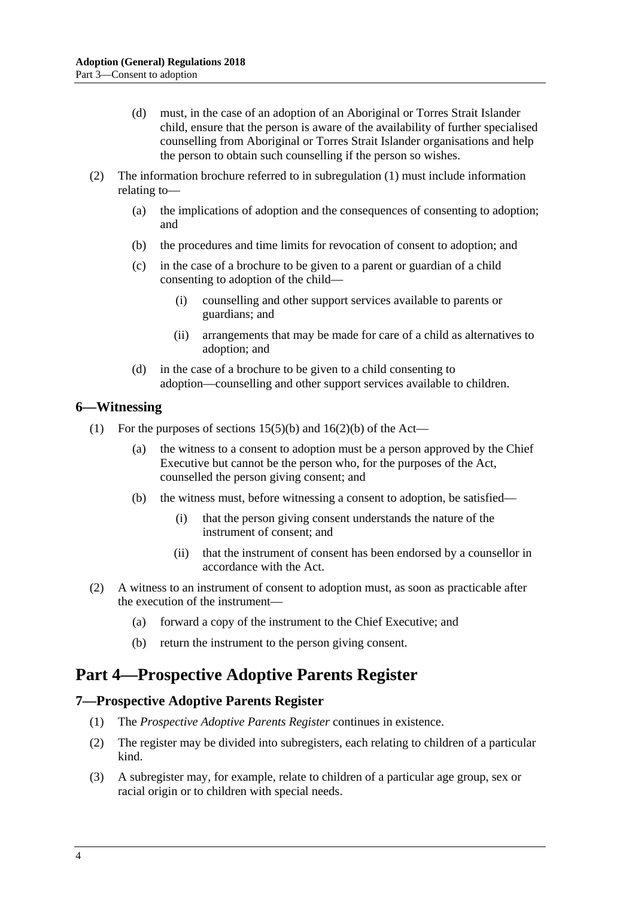- (d) must, in the case of an adoption of an Aboriginal or Torres Strait Islander child, ensure that the person is aware of the availability of further specialised counselling from Aboriginal or Torres Strait Islander organisations and help the person to obtain such counselling if the person so wishes.
- (2) The information brochure referred to in [subregulation](#page-2-5) (1) must include information relating to—
	- (a) the implications of adoption and the consequences of consenting to adoption; and
	- (b) the procedures and time limits for revocation of consent to adoption; and
	- (c) in the case of a brochure to be given to a parent or guardian of a child consenting to adoption of the child—
		- (i) counselling and other support services available to parents or guardians; and
		- (ii) arrangements that may be made for care of a child as alternatives to adoption; and
	- (d) in the case of a brochure to be given to a child consenting to adoption—counselling and other support services available to children.

#### <span id="page-3-0"></span>**6—Witnessing**

- (1) For the purposes of sections  $15(5)(b)$  and  $16(2)(b)$  of the Act—
	- (a) the witness to a consent to adoption must be a person approved by the Chief Executive but cannot be the person who, for the purposes of the Act, counselled the person giving consent; and
	- (b) the witness must, before witnessing a consent to adoption, be satisfied—
		- (i) that the person giving consent understands the nature of the instrument of consent; and
		- (ii) that the instrument of consent has been endorsed by a counsellor in accordance with the Act.
- (2) A witness to an instrument of consent to adoption must, as soon as practicable after the execution of the instrument—
	- (a) forward a copy of the instrument to the Chief Executive; and
	- (b) return the instrument to the person giving consent.

# <span id="page-3-1"></span>**Part 4—Prospective Adoptive Parents Register**

#### <span id="page-3-2"></span>**7—Prospective Adoptive Parents Register**

- (1) The *Prospective Adoptive Parents Register* continues in existence.
- (2) The register may be divided into subregisters, each relating to children of a particular kind.
- (3) A subregister may, for example, relate to children of a particular age group, sex or racial origin or to children with special needs.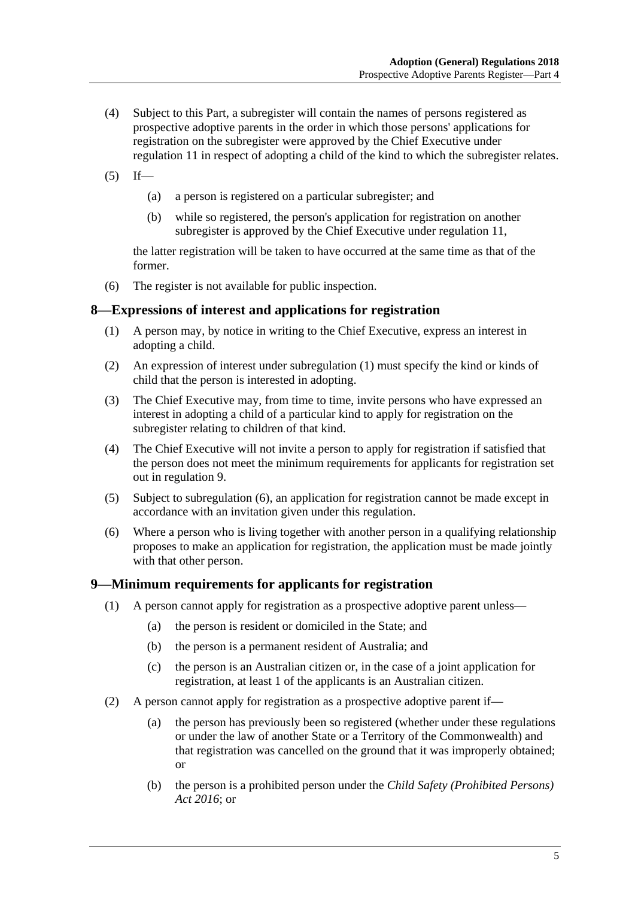- (4) Subject to this Part, a subregister will contain the names of persons registered as prospective adoptive parents in the order in which those persons' applications for registration on the subregister were approved by the Chief Executive under [regulation](#page-7-0) 11 in respect of adopting a child of the kind to which the subregister relates.
- $(5)$  If—
	- (a) a person is registered on a particular subregister; and
	- (b) while so registered, the person's application for registration on another subregister is approved by the Chief Executive under [regulation](#page-7-0) 11,

the latter registration will be taken to have occurred at the same time as that of the former.

(6) The register is not available for public inspection.

#### <span id="page-4-2"></span><span id="page-4-0"></span>**8—Expressions of interest and applications for registration**

- (1) A person may, by notice in writing to the Chief Executive, express an interest in adopting a child.
- (2) An expression of interest under [subregulation](#page-4-2) (1) must specify the kind or kinds of child that the person is interested in adopting.
- (3) The Chief Executive may, from time to time, invite persons who have expressed an interest in adopting a child of a particular kind to apply for registration on the subregister relating to children of that kind.
- (4) The Chief Executive will not invite a person to apply for registration if satisfied that the person does not meet the minimum requirements for applicants for registration set out in [regulation](#page-4-1) 9.
- (5) Subject to [subregulation](#page-4-3) (6), an application for registration cannot be made except in accordance with an invitation given under this regulation.
- <span id="page-4-3"></span>(6) Where a person who is living together with another person in a qualifying relationship proposes to make an application for registration, the application must be made jointly with that other person.

#### <span id="page-4-1"></span>**9—Minimum requirements for applicants for registration**

- (1) A person cannot apply for registration as a prospective adoptive parent unless—
	- (a) the person is resident or domiciled in the State; and
	- (b) the person is a permanent resident of Australia; and
	- (c) the person is an Australian citizen or, in the case of a joint application for registration, at least 1 of the applicants is an Australian citizen.
- <span id="page-4-4"></span>(2) A person cannot apply for registration as a prospective adoptive parent if—
	- (a) the person has previously been so registered (whether under these regulations or under the law of another State or a Territory of the Commonwealth) and that registration was cancelled on the ground that it was improperly obtained; or
	- (b) the person is a prohibited person under the *[Child Safety \(Prohibited Persons\)](http://www.legislation.sa.gov.au/index.aspx?action=legref&type=act&legtitle=Child%20Safety%20(Prohibited%20Persons)%20Act%202016)  Act [2016](http://www.legislation.sa.gov.au/index.aspx?action=legref&type=act&legtitle=Child%20Safety%20(Prohibited%20Persons)%20Act%202016)*; or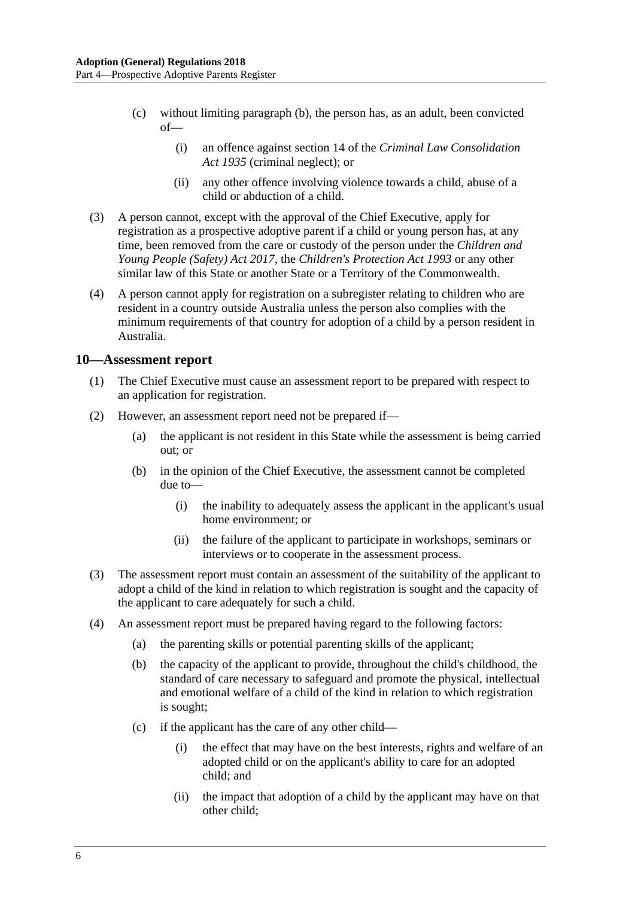- (c) without limiting [paragraph](#page-4-4) (b), the person has, as an adult, been convicted  $of$ —
	- (i) an offence against section 14 of the *[Criminal Law Consolidation](http://www.legislation.sa.gov.au/index.aspx?action=legref&type=act&legtitle=Criminal%20Law%20Consolidation%20Act%201935)  Act [1935](http://www.legislation.sa.gov.au/index.aspx?action=legref&type=act&legtitle=Criminal%20Law%20Consolidation%20Act%201935)* (criminal neglect); or
	- (ii) any other offence involving violence towards a child, abuse of a child or abduction of a child.
- (3) A person cannot, except with the approval of the Chief Executive, apply for registration as a prospective adoptive parent if a child or young person has, at any time, been removed from the care or custody of the person under the *[Children and](http://www.legislation.sa.gov.au/index.aspx?action=legref&type=act&legtitle=Children%20and%20Young%20People%20(Safety)%20Act%202017)  [Young People \(Safety\) Act](http://www.legislation.sa.gov.au/index.aspx?action=legref&type=act&legtitle=Children%20and%20Young%20People%20(Safety)%20Act%202017) 2017*, the *[Children's Protection Act](http://www.legislation.sa.gov.au/index.aspx?action=legref&type=act&legtitle=Childrens%20Protection%20Act%201993) 1993* or any other similar law of this State or another State or a Territory of the Commonwealth.
- (4) A person cannot apply for registration on a subregister relating to children who are resident in a country outside Australia unless the person also complies with the minimum requirements of that country for adoption of a child by a person resident in Australia.

#### <span id="page-5-0"></span>**10—Assessment report**

- (1) The Chief Executive must cause an assessment report to be prepared with respect to an application for registration.
- <span id="page-5-1"></span>(2) However, an assessment report need not be prepared if—
	- (a) the applicant is not resident in this State while the assessment is being carried out; or
	- (b) in the opinion of the Chief Executive, the assessment cannot be completed due to—
		- (i) the inability to adequately assess the applicant in the applicant's usual home environment; or
		- (ii) the failure of the applicant to participate in workshops, seminars or interviews or to cooperate in the assessment process.
- (3) The assessment report must contain an assessment of the suitability of the applicant to adopt a child of the kind in relation to which registration is sought and the capacity of the applicant to care adequately for such a child.
- (4) An assessment report must be prepared having regard to the following factors:
	- (a) the parenting skills or potential parenting skills of the applicant;
	- (b) the capacity of the applicant to provide, throughout the child's childhood, the standard of care necessary to safeguard and promote the physical, intellectual and emotional welfare of a child of the kind in relation to which registration is sought;
	- (c) if the applicant has the care of any other child—
		- (i) the effect that may have on the best interests, rights and welfare of an adopted child or on the applicant's ability to care for an adopted child; and
		- (ii) the impact that adoption of a child by the applicant may have on that other child;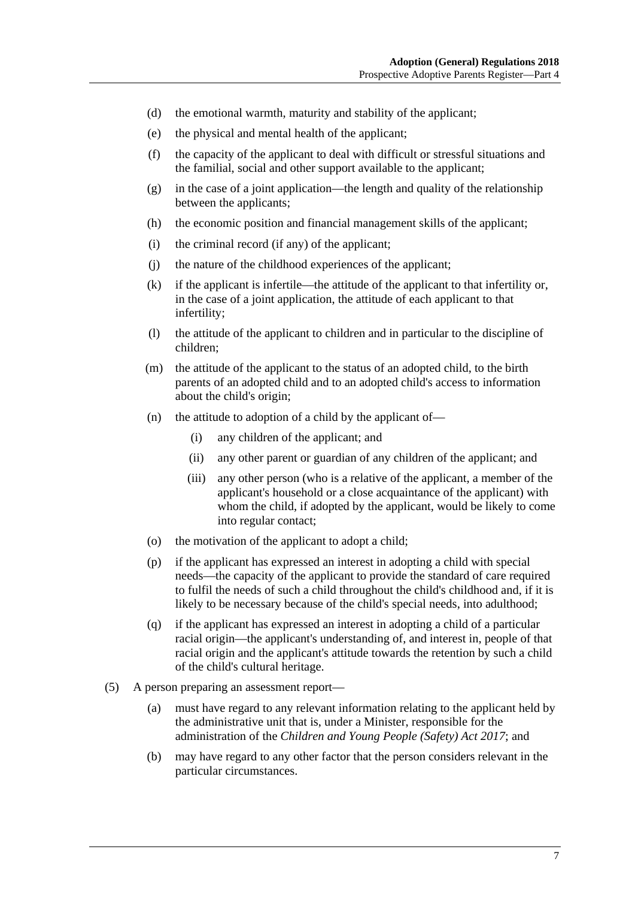- (d) the emotional warmth, maturity and stability of the applicant;
- (e) the physical and mental health of the applicant;
- (f) the capacity of the applicant to deal with difficult or stressful situations and the familial, social and other support available to the applicant;
- (g) in the case of a joint application—the length and quality of the relationship between the applicants;
- (h) the economic position and financial management skills of the applicant;
- (i) the criminal record (if any) of the applicant;
- (j) the nature of the childhood experiences of the applicant;
- (k) if the applicant is infertile—the attitude of the applicant to that infertility or, in the case of a joint application, the attitude of each applicant to that infertility;
- (l) the attitude of the applicant to children and in particular to the discipline of children;
- (m) the attitude of the applicant to the status of an adopted child, to the birth parents of an adopted child and to an adopted child's access to information about the child's origin;
- (n) the attitude to adoption of a child by the applicant of—
	- (i) any children of the applicant; and
	- (ii) any other parent or guardian of any children of the applicant; and
	- (iii) any other person (who is a relative of the applicant, a member of the applicant's household or a close acquaintance of the applicant) with whom the child, if adopted by the applicant, would be likely to come into regular contact;
- (o) the motivation of the applicant to adopt a child;
- (p) if the applicant has expressed an interest in adopting a child with special needs—the capacity of the applicant to provide the standard of care required to fulfil the needs of such a child throughout the child's childhood and, if it is likely to be necessary because of the child's special needs, into adulthood;
- (q) if the applicant has expressed an interest in adopting a child of a particular racial origin—the applicant's understanding of, and interest in, people of that racial origin and the applicant's attitude towards the retention by such a child of the child's cultural heritage.
- (5) A person preparing an assessment report—
	- (a) must have regard to any relevant information relating to the applicant held by the administrative unit that is, under a Minister, responsible for the administration of the *[Children and Young People \(Safety\) Act](http://www.legislation.sa.gov.au/index.aspx?action=legref&type=act&legtitle=Children%20and%20Young%20People%20(Safety)%20Act%202017) 2017*; and
	- (b) may have regard to any other factor that the person considers relevant in the particular circumstances.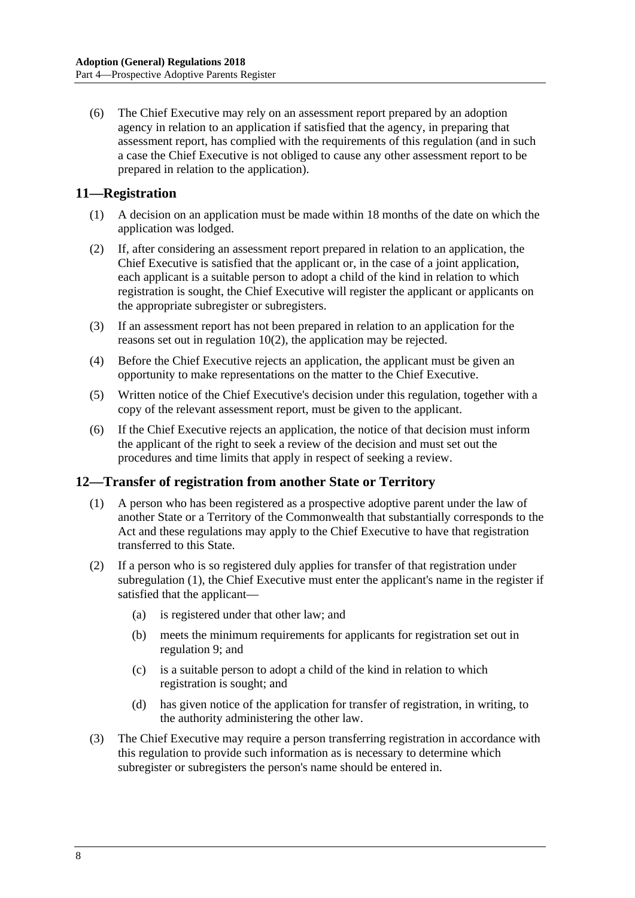(6) The Chief Executive may rely on an assessment report prepared by an adoption agency in relation to an application if satisfied that the agency, in preparing that assessment report, has complied with the requirements of this regulation (and in such a case the Chief Executive is not obliged to cause any other assessment report to be prepared in relation to the application).

### <span id="page-7-0"></span>**11—Registration**

- (1) A decision on an application must be made within 18 months of the date on which the application was lodged.
- (2) If, after considering an assessment report prepared in relation to an application, the Chief Executive is satisfied that the applicant or, in the case of a joint application, each applicant is a suitable person to adopt a child of the kind in relation to which registration is sought, the Chief Executive will register the applicant or applicants on the appropriate subregister or subregisters.
- (3) If an assessment report has not been prepared in relation to an application for the reasons set out in [regulation](#page-5-1) 10(2), the application may be rejected.
- (4) Before the Chief Executive rejects an application, the applicant must be given an opportunity to make representations on the matter to the Chief Executive.
- (5) Written notice of the Chief Executive's decision under this regulation, together with a copy of the relevant assessment report, must be given to the applicant.
- (6) If the Chief Executive rejects an application, the notice of that decision must inform the applicant of the right to seek a review of the decision and must set out the procedures and time limits that apply in respect of seeking a review.

### <span id="page-7-2"></span><span id="page-7-1"></span>**12—Transfer of registration from another State or Territory**

- (1) A person who has been registered as a prospective adoptive parent under the law of another State or a Territory of the Commonwealth that substantially corresponds to the Act and these regulations may apply to the Chief Executive to have that registration transferred to this State.
- (2) If a person who is so registered duly applies for transfer of that registration under [subregulation](#page-7-2) (1), the Chief Executive must enter the applicant's name in the register if satisfied that the applicant—
	- (a) is registered under that other law; and
	- (b) meets the minimum requirements for applicants for registration set out in [regulation](#page-4-1) 9; and
	- (c) is a suitable person to adopt a child of the kind in relation to which registration is sought; and
	- (d) has given notice of the application for transfer of registration, in writing, to the authority administering the other law.
- (3) The Chief Executive may require a person transferring registration in accordance with this regulation to provide such information as is necessary to determine which subregister or subregisters the person's name should be entered in.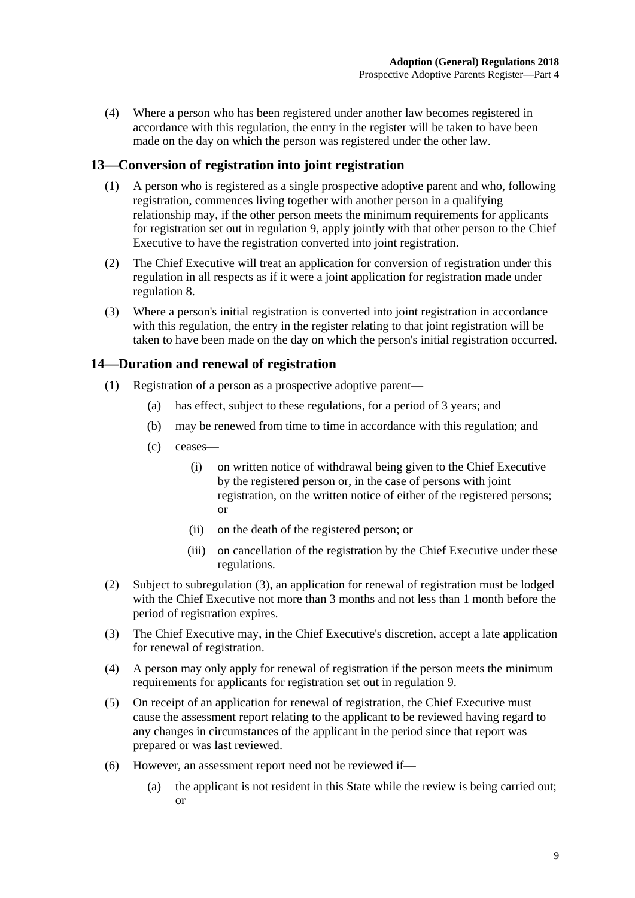(4) Where a person who has been registered under another law becomes registered in accordance with this regulation, the entry in the register will be taken to have been made on the day on which the person was registered under the other law.

### <span id="page-8-0"></span>**13—Conversion of registration into joint registration**

- (1) A person who is registered as a single prospective adoptive parent and who, following registration, commences living together with another person in a qualifying relationship may, if the other person meets the minimum requirements for applicants for registration set out in [regulation](#page-4-1) 9, apply jointly with that other person to the Chief Executive to have the registration converted into joint registration.
- (2) The Chief Executive will treat an application for conversion of registration under this regulation in all respects as if it were a joint application for registration made under [regulation](#page-4-0) 8.
- (3) Where a person's initial registration is converted into joint registration in accordance with this regulation, the entry in the register relating to that joint registration will be taken to have been made on the day on which the person's initial registration occurred.

### <span id="page-8-1"></span>**14—Duration and renewal of registration**

- (1) Registration of a person as a prospective adoptive parent—
	- (a) has effect, subject to these regulations, for a period of 3 years; and
	- (b) may be renewed from time to time in accordance with this regulation; and
	- (c) ceases—
		- (i) on written notice of withdrawal being given to the Chief Executive by the registered person or, in the case of persons with joint registration, on the written notice of either of the registered persons; or
		- (ii) on the death of the registered person; or
		- (iii) on cancellation of the registration by the Chief Executive under these regulations.
- (2) Subject to [subregulation](#page-8-2) (3), an application for renewal of registration must be lodged with the Chief Executive not more than 3 months and not less than 1 month before the period of registration expires.
- <span id="page-8-2"></span>(3) The Chief Executive may, in the Chief Executive's discretion, accept a late application for renewal of registration.
- (4) A person may only apply for renewal of registration if the person meets the minimum requirements for applicants for registration set out in [regulation](#page-4-1) 9.
- (5) On receipt of an application for renewal of registration, the Chief Executive must cause the assessment report relating to the applicant to be reviewed having regard to any changes in circumstances of the applicant in the period since that report was prepared or was last reviewed.
- <span id="page-8-3"></span>(6) However, an assessment report need not be reviewed if—
	- (a) the applicant is not resident in this State while the review is being carried out; or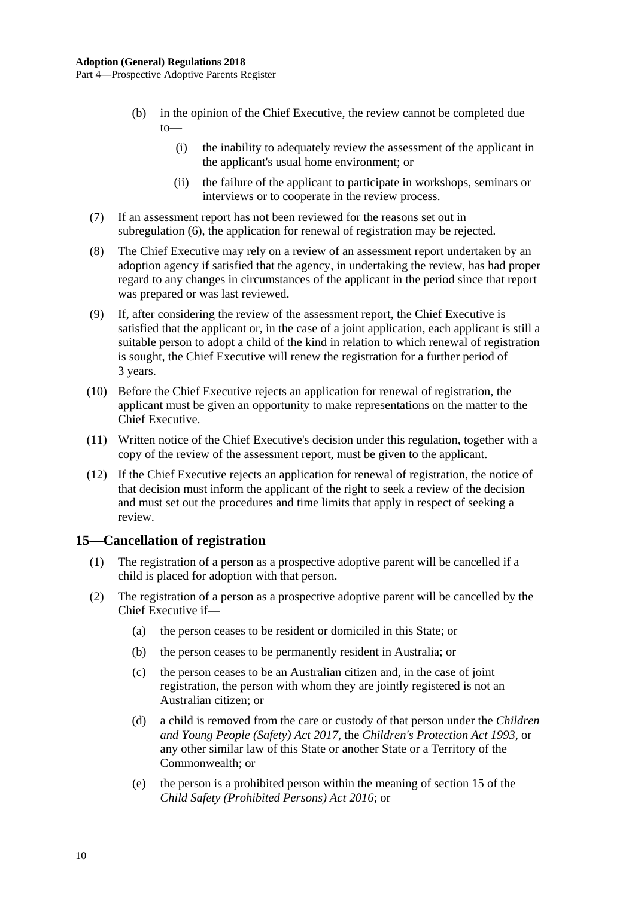- (b) in the opinion of the Chief Executive, the review cannot be completed due  $to$ 
	- (i) the inability to adequately review the assessment of the applicant in the applicant's usual home environment; or
	- (ii) the failure of the applicant to participate in workshops, seminars or interviews or to cooperate in the review process.
- (7) If an assessment report has not been reviewed for the reasons set out in [subregulation](#page-8-3) (6), the application for renewal of registration may be rejected.
- (8) The Chief Executive may rely on a review of an assessment report undertaken by an adoption agency if satisfied that the agency, in undertaking the review, has had proper regard to any changes in circumstances of the applicant in the period since that report was prepared or was last reviewed.
- (9) If, after considering the review of the assessment report, the Chief Executive is satisfied that the applicant or, in the case of a joint application, each applicant is still a suitable person to adopt a child of the kind in relation to which renewal of registration is sought, the Chief Executive will renew the registration for a further period of 3 years.
- (10) Before the Chief Executive rejects an application for renewal of registration, the applicant must be given an opportunity to make representations on the matter to the Chief Executive.
- (11) Written notice of the Chief Executive's decision under this regulation, together with a copy of the review of the assessment report, must be given to the applicant.
- (12) If the Chief Executive rejects an application for renewal of registration, the notice of that decision must inform the applicant of the right to seek a review of the decision and must set out the procedures and time limits that apply in respect of seeking a review.

### <span id="page-9-2"></span><span id="page-9-0"></span>**15—Cancellation of registration**

- (1) The registration of a person as a prospective adoptive parent will be cancelled if a child is placed for adoption with that person.
- <span id="page-9-3"></span><span id="page-9-1"></span>(2) The registration of a person as a prospective adoptive parent will be cancelled by the Chief Executive if—
	- (a) the person ceases to be resident or domiciled in this State; or
	- (b) the person ceases to be permanently resident in Australia; or
	- (c) the person ceases to be an Australian citizen and, in the case of joint registration, the person with whom they are jointly registered is not an Australian citizen; or
	- (d) a child is removed from the care or custody of that person under the *[Children](http://www.legislation.sa.gov.au/index.aspx?action=legref&type=act&legtitle=Children%20and%20Young%20People%20(Safety)%20Act%202017)  [and Young People \(Safety\) Act](http://www.legislation.sa.gov.au/index.aspx?action=legref&type=act&legtitle=Children%20and%20Young%20People%20(Safety)%20Act%202017) 2017*, the *[Children's Protection Act](http://www.legislation.sa.gov.au/index.aspx?action=legref&type=act&legtitle=Childrens%20Protection%20Act%201993) 1993*, or any other similar law of this State or another State or a Territory of the Commonwealth; or
	- (e) the person is a prohibited person within the meaning of section 15 of the *[Child Safety \(Prohibited Persons\) Act](http://www.legislation.sa.gov.au/index.aspx?action=legref&type=act&legtitle=Child%20Safety%20(Prohibited%20Persons)%20Act%202016) 2016*; or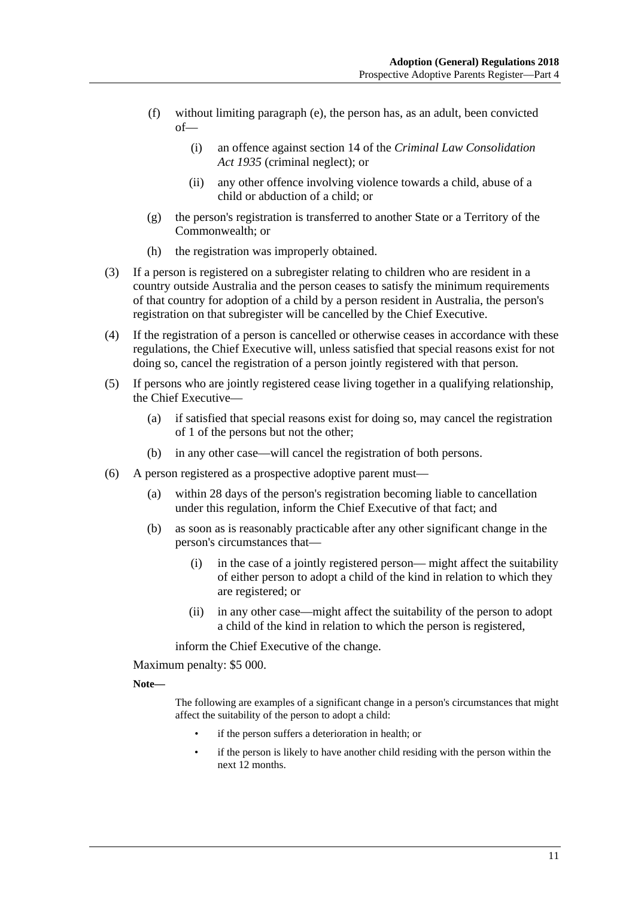- (f) without limiting [paragraph](#page-9-1) (e), the person has, as an adult, been convicted of—
	- (i) an offence against section 14 of the *[Criminal Law Consolidation](http://www.legislation.sa.gov.au/index.aspx?action=legref&type=act&legtitle=Criminal%20Law%20Consolidation%20Act%201935)  Act [1935](http://www.legislation.sa.gov.au/index.aspx?action=legref&type=act&legtitle=Criminal%20Law%20Consolidation%20Act%201935)* (criminal neglect); or
	- (ii) any other offence involving violence towards a child, abuse of a child or abduction of a child; or
- (g) the person's registration is transferred to another State or a Territory of the Commonwealth; or
- (h) the registration was improperly obtained.
- (3) If a person is registered on a subregister relating to children who are resident in a country outside Australia and the person ceases to satisfy the minimum requirements of that country for adoption of a child by a person resident in Australia, the person's registration on that subregister will be cancelled by the Chief Executive.
- (4) If the registration of a person is cancelled or otherwise ceases in accordance with these regulations, the Chief Executive will, unless satisfied that special reasons exist for not doing so, cancel the registration of a person jointly registered with that person.
- (5) If persons who are jointly registered cease living together in a qualifying relationship, the Chief Executive—
	- (a) if satisfied that special reasons exist for doing so, may cancel the registration of 1 of the persons but not the other;
	- (b) in any other case—will cancel the registration of both persons.
- <span id="page-10-0"></span>(6) A person registered as a prospective adoptive parent must—
	- (a) within 28 days of the person's registration becoming liable to cancellation under this regulation, inform the Chief Executive of that fact; and
	- (b) as soon as is reasonably practicable after any other significant change in the person's circumstances that—
		- (i) in the case of a jointly registered person— might affect the suitability of either person to adopt a child of the kind in relation to which they are registered; or
		- (ii) in any other case—might affect the suitability of the person to adopt a child of the kind in relation to which the person is registered,

inform the Chief Executive of the change.

Maximum penalty: \$5 000.

**Note—**

The following are examples of a significant change in a person's circumstances that might affect the suitability of the person to adopt a child:

- if the person suffers a deterioration in health; or
- if the person is likely to have another child residing with the person within the next 12 months.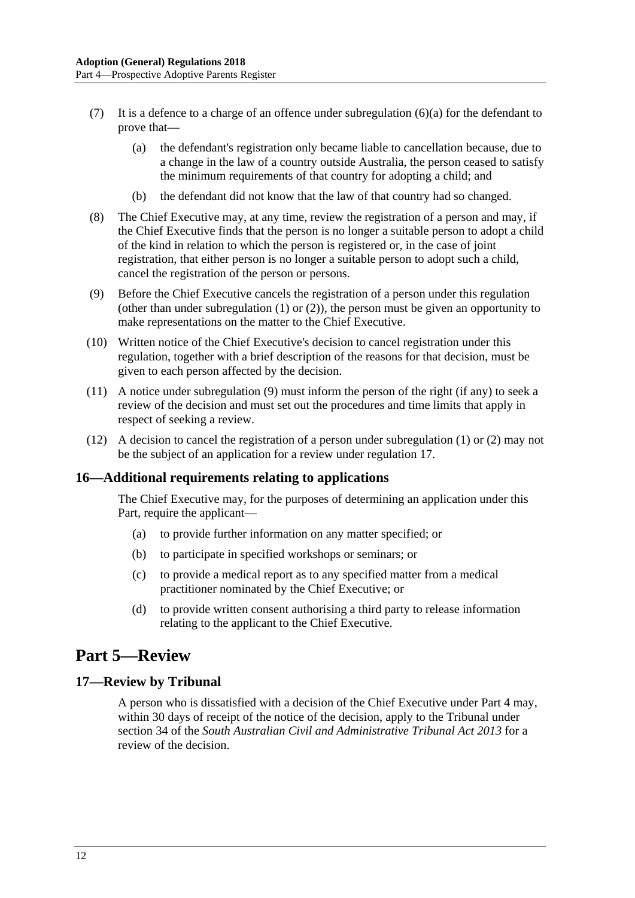- (7) It is a defence to a charge of an offence under [subregulation](#page-10-0)  $(6)(a)$  for the defendant to prove that—
	- (a) the defendant's registration only became liable to cancellation because, due to a change in the law of a country outside Australia, the person ceased to satisfy the minimum requirements of that country for adopting a child; and
	- (b) the defendant did not know that the law of that country had so changed.
- (8) The Chief Executive may, at any time, review the registration of a person and may, if the Chief Executive finds that the person is no longer a suitable person to adopt a child of the kind in relation to which the person is registered or, in the case of joint registration, that either person is no longer a suitable person to adopt such a child, cancel the registration of the person or persons.
- <span id="page-11-3"></span>(9) Before the Chief Executive cancels the registration of a person under this regulation (other than under [subregulation](#page-9-2) (1) or [\(2\)\)](#page-9-3), the person must be given an opportunity to make representations on the matter to the Chief Executive.
- (10) Written notice of the Chief Executive's decision to cancel registration under this regulation, together with a brief description of the reasons for that decision, must be given to each person affected by the decision.
- (11) A notice under [subregulation](#page-11-3) (9) must inform the person of the right (if any) to seek a review of the decision and must set out the procedures and time limits that apply in respect of seeking a review.
- (12) A decision to cancel the registration of a person under [subregulation](#page-9-2) (1) or [\(2\)](#page-9-3) may not be the subject of an application for a review under [regulation](#page-11-2) 17.

### <span id="page-11-0"></span>**16—Additional requirements relating to applications**

The Chief Executive may, for the purposes of determining an application under this Part, require the applicant—

- (a) to provide further information on any matter specified; or
- (b) to participate in specified workshops or seminars; or
- (c) to provide a medical report as to any specified matter from a medical practitioner nominated by the Chief Executive; or
- (d) to provide written consent authorising a third party to release information relating to the applicant to the Chief Executive.

# <span id="page-11-1"></span>**Part 5—Review**

### <span id="page-11-2"></span>**17—Review by Tribunal**

A person who is dissatisfied with a decision of the Chief Executive under [Part](#page-3-1) 4 may, within 30 days of receipt of the notice of the decision, apply to the Tribunal under section 34 of the *[South Australian Civil and Administrative Tribunal Act](http://www.legislation.sa.gov.au/index.aspx?action=legref&type=act&legtitle=South%20Australian%20Civil%20and%20Administrative%20Tribunal%20Act%202013) 2013* for a review of the decision.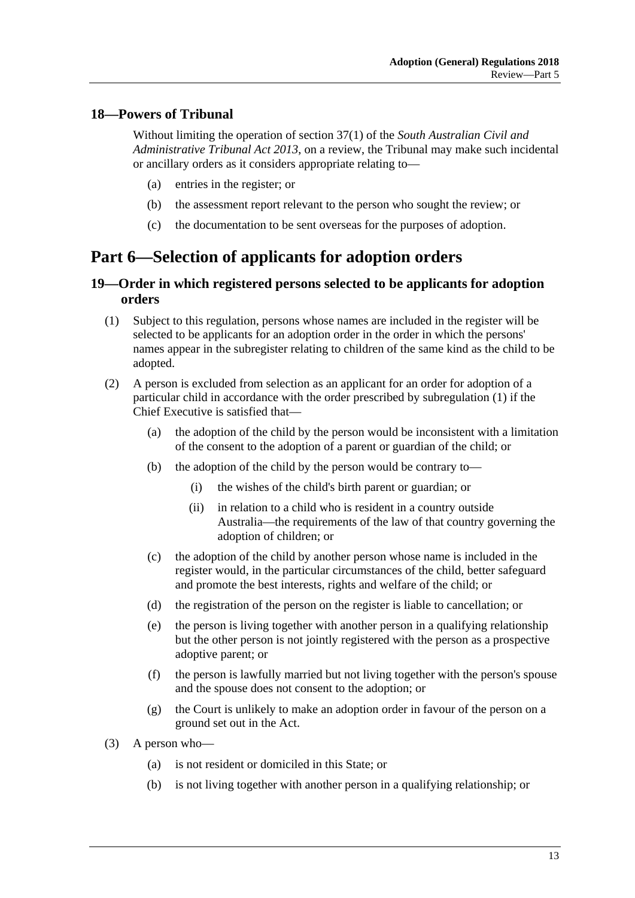### <span id="page-12-0"></span>**18—Powers of Tribunal**

Without limiting the operation of section 37(1) of the *[South Australian Civil and](http://www.legislation.sa.gov.au/index.aspx?action=legref&type=act&legtitle=South%20Australian%20Civil%20and%20Administrative%20Tribunal%20Act%202013)  [Administrative Tribunal Act](http://www.legislation.sa.gov.au/index.aspx?action=legref&type=act&legtitle=South%20Australian%20Civil%20and%20Administrative%20Tribunal%20Act%202013) 2013*, on a review, the Tribunal may make such incidental or ancillary orders as it considers appropriate relating to—

- (a) entries in the register; or
- (b) the assessment report relevant to the person who sought the review; or
- (c) the documentation to be sent overseas for the purposes of adoption.

# <span id="page-12-1"></span>**Part 6—Selection of applicants for adoption orders**

### <span id="page-12-2"></span>**19—Order in which registered persons selected to be applicants for adoption orders**

- <span id="page-12-3"></span>(1) Subject to this regulation, persons whose names are included in the register will be selected to be applicants for an adoption order in the order in which the persons' names appear in the subregister relating to children of the same kind as the child to be adopted.
- <span id="page-12-4"></span>(2) A person is excluded from selection as an applicant for an order for adoption of a particular child in accordance with the order prescribed by [subregulation](#page-12-3) (1) if the Chief Executive is satisfied that—
	- (a) the adoption of the child by the person would be inconsistent with a limitation of the consent to the adoption of a parent or guardian of the child; or
	- (b) the adoption of the child by the person would be contrary to—
		- (i) the wishes of the child's birth parent or guardian; or
		- (ii) in relation to a child who is resident in a country outside Australia—the requirements of the law of that country governing the adoption of children; or
	- (c) the adoption of the child by another person whose name is included in the register would, in the particular circumstances of the child, better safeguard and promote the best interests, rights and welfare of the child; or
	- (d) the registration of the person on the register is liable to cancellation; or
	- (e) the person is living together with another person in a qualifying relationship but the other person is not jointly registered with the person as a prospective adoptive parent; or
	- (f) the person is lawfully married but not living together with the person's spouse and the spouse does not consent to the adoption; or
	- (g) the Court is unlikely to make an adoption order in favour of the person on a ground set out in the Act.
- (3) A person who—
	- (a) is not resident or domiciled in this State; or
	- (b) is not living together with another person in a qualifying relationship; or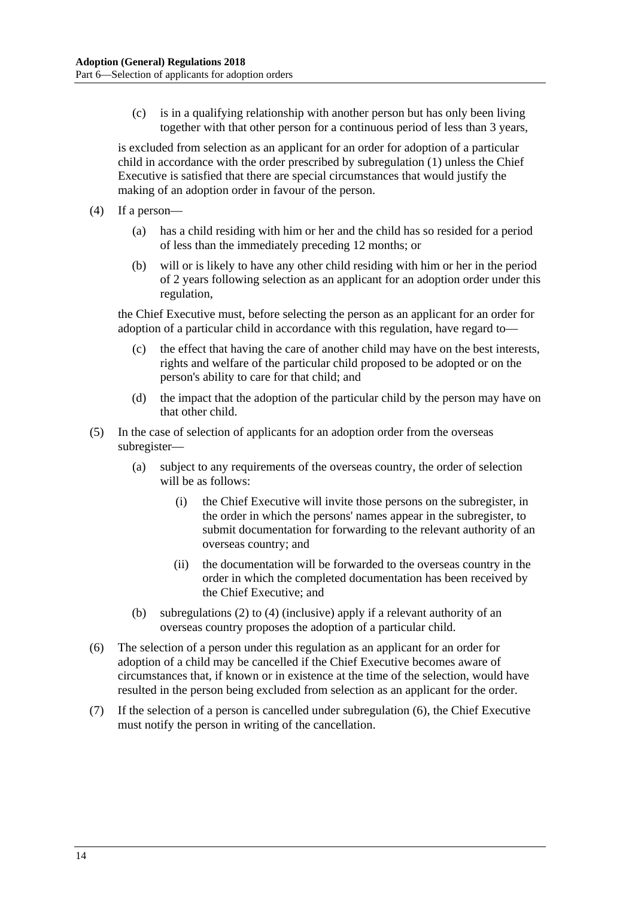(c) is in a qualifying relationship with another person but has only been living together with that other person for a continuous period of less than 3 years,

is excluded from selection as an applicant for an order for adoption of a particular child in accordance with the order prescribed by [subregulation](#page-12-3) (1) unless the Chief Executive is satisfied that there are special circumstances that would justify the making of an adoption order in favour of the person.

- <span id="page-13-0"></span>(4) If a person—
	- (a) has a child residing with him or her and the child has so resided for a period of less than the immediately preceding 12 months; or
	- (b) will or is likely to have any other child residing with him or her in the period of 2 years following selection as an applicant for an adoption order under this regulation,

the Chief Executive must, before selecting the person as an applicant for an order for adoption of a particular child in accordance with this regulation, have regard to—

- (c) the effect that having the care of another child may have on the best interests, rights and welfare of the particular child proposed to be adopted or on the person's ability to care for that child; and
- (d) the impact that the adoption of the particular child by the person may have on that other child.
- (5) In the case of selection of applicants for an adoption order from the overseas subregister—
	- (a) subject to any requirements of the overseas country, the order of selection will be as follows:
		- (i) the Chief Executive will invite those persons on the subregister, in the order in which the persons' names appear in the subregister, to submit documentation for forwarding to the relevant authority of an overseas country; and
		- (ii) the documentation will be forwarded to the overseas country in the order in which the completed documentation has been received by the Chief Executive; and
	- (b) [subregulations](#page-12-4) (2) to [\(4\)](#page-13-0) (inclusive) apply if a relevant authority of an overseas country proposes the adoption of a particular child.
- <span id="page-13-1"></span>(6) The selection of a person under this regulation as an applicant for an order for adoption of a child may be cancelled if the Chief Executive becomes aware of circumstances that, if known or in existence at the time of the selection, would have resulted in the person being excluded from selection as an applicant for the order.
- (7) If the selection of a person is cancelled under [subregulation](#page-13-1) (6), the Chief Executive must notify the person in writing of the cancellation.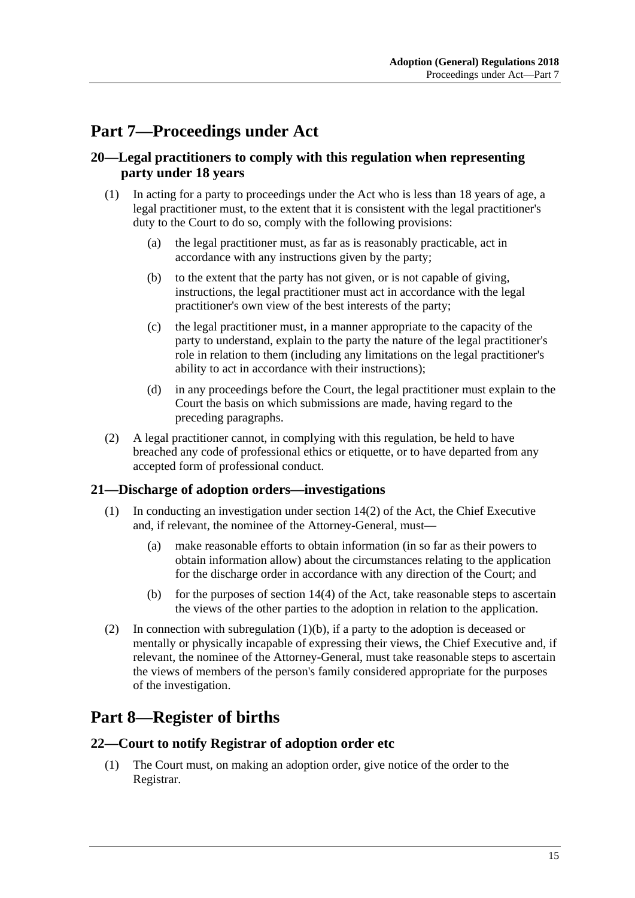# <span id="page-14-0"></span>**Part 7—Proceedings under Act**

### <span id="page-14-1"></span>**20—Legal practitioners to comply with this regulation when representing party under 18 years**

- (1) In acting for a party to proceedings under the Act who is less than 18 years of age, a legal practitioner must, to the extent that it is consistent with the legal practitioner's duty to the Court to do so, comply with the following provisions:
	- (a) the legal practitioner must, as far as is reasonably practicable, act in accordance with any instructions given by the party;
	- (b) to the extent that the party has not given, or is not capable of giving, instructions, the legal practitioner must act in accordance with the legal practitioner's own view of the best interests of the party;
	- (c) the legal practitioner must, in a manner appropriate to the capacity of the party to understand, explain to the party the nature of the legal practitioner's role in relation to them (including any limitations on the legal practitioner's ability to act in accordance with their instructions);
	- (d) in any proceedings before the Court, the legal practitioner must explain to the Court the basis on which submissions are made, having regard to the preceding paragraphs.
- (2) A legal practitioner cannot, in complying with this regulation, be held to have breached any code of professional ethics or etiquette, or to have departed from any accepted form of professional conduct.

### <span id="page-14-2"></span>**21—Discharge of adoption orders—investigations**

- (1) In conducting an investigation under section 14(2) of the Act, the Chief Executive and, if relevant, the nominee of the Attorney-General, must—
	- (a) make reasonable efforts to obtain information (in so far as their powers to obtain information allow) about the circumstances relating to the application for the discharge order in accordance with any direction of the Court; and
	- (b) for the purposes of section  $14(4)$  of the Act, take reasonable steps to ascertain the views of the other parties to the adoption in relation to the application.
- <span id="page-14-5"></span>(2) In connection with [subregulation](#page-14-5) (1)(b), if a party to the adoption is deceased or mentally or physically incapable of expressing their views, the Chief Executive and, if relevant, the nominee of the Attorney-General, must take reasonable steps to ascertain the views of members of the person's family considered appropriate for the purposes of the investigation.

# <span id="page-14-3"></span>**Part 8—Register of births**

#### <span id="page-14-4"></span>**22—Court to notify Registrar of adoption order etc**

(1) The Court must, on making an adoption order, give notice of the order to the Registrar.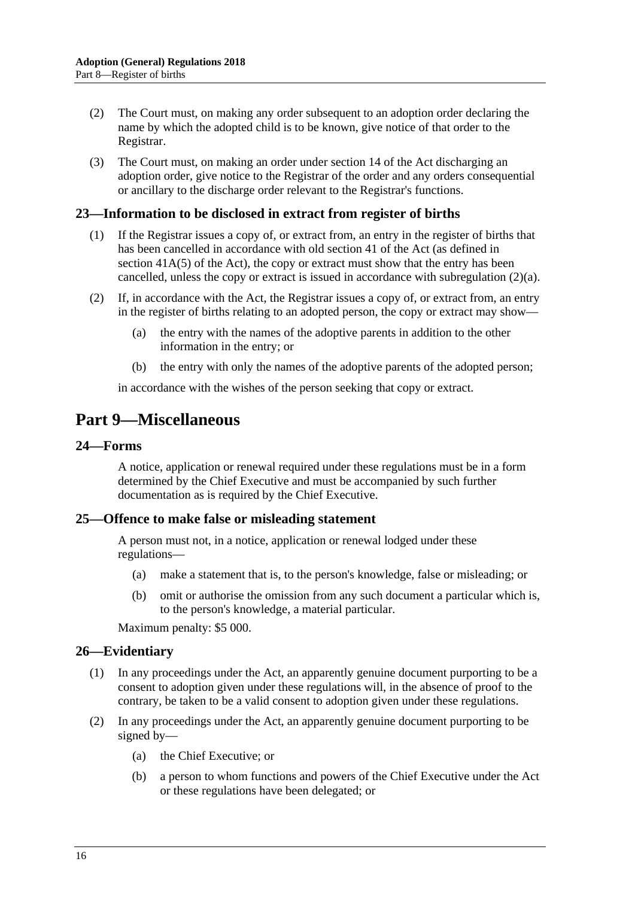- (2) The Court must, on making any order subsequent to an adoption order declaring the name by which the adopted child is to be known, give notice of that order to the Registrar.
- (3) The Court must, on making an order under section 14 of the Act discharging an adoption order, give notice to the Registrar of the order and any orders consequential or ancillary to the discharge order relevant to the Registrar's functions.

### <span id="page-15-0"></span>**23—Information to be disclosed in extract from register of births**

- (1) If the Registrar issues a copy of, or extract from, an entry in the register of births that has been cancelled in accordance with old section 41 of the Act (as defined in section  $41A(5)$  of the Act), the copy or extract must show that the entry has been cancelled, unless the copy or extract is issued in accordance with [subregulation](#page-15-5) (2)(a).
- <span id="page-15-5"></span>(2) If, in accordance with the Act, the Registrar issues a copy of, or extract from, an entry in the register of births relating to an adopted person, the copy or extract may show—
	- (a) the entry with the names of the adoptive parents in addition to the other information in the entry; or
	- (b) the entry with only the names of the adoptive parents of the adopted person;

in accordance with the wishes of the person seeking that copy or extract.

# <span id="page-15-1"></span>**Part 9—Miscellaneous**

#### <span id="page-15-2"></span>**24—Forms**

A notice, application or renewal required under these regulations must be in a form determined by the Chief Executive and must be accompanied by such further documentation as is required by the Chief Executive.

#### <span id="page-15-3"></span>**25—Offence to make false or misleading statement**

A person must not, in a notice, application or renewal lodged under these regulations—

- (a) make a statement that is, to the person's knowledge, false or misleading; or
- (b) omit or authorise the omission from any such document a particular which is, to the person's knowledge, a material particular.

Maximum penalty: \$5 000.

### <span id="page-15-4"></span>**26—Evidentiary**

- (1) In any proceedings under the Act, an apparently genuine document purporting to be a consent to adoption given under these regulations will, in the absence of proof to the contrary, be taken to be a valid consent to adoption given under these regulations.
- (2) In any proceedings under the Act, an apparently genuine document purporting to be signed by—
	- (a) the Chief Executive; or
	- (b) a person to whom functions and powers of the Chief Executive under the Act or these regulations have been delegated; or